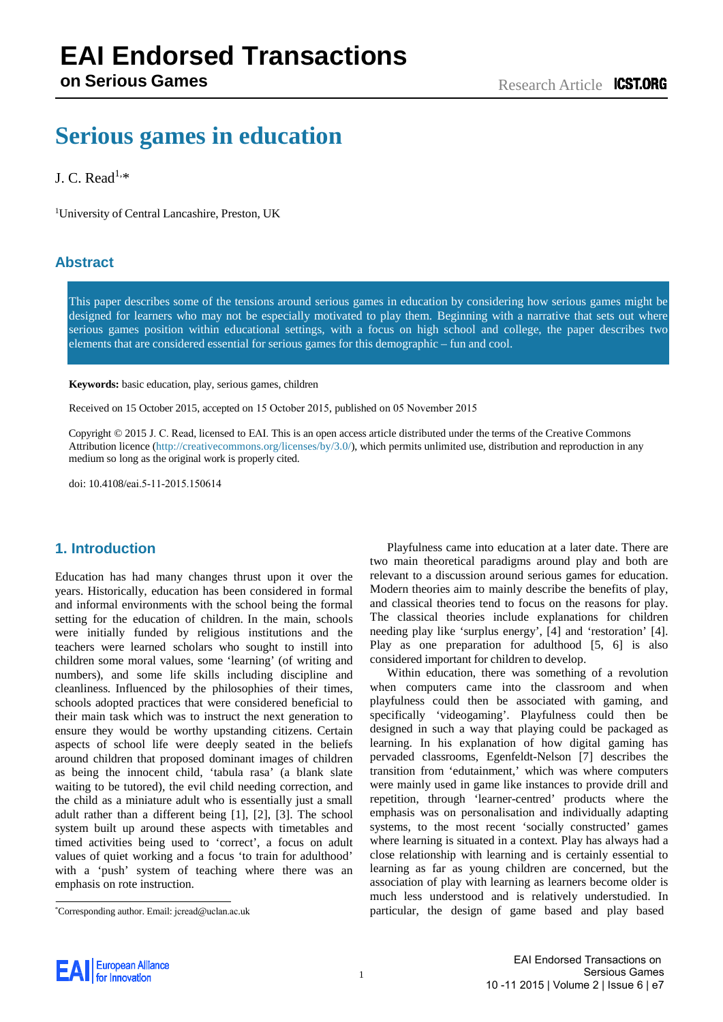# **Serious games in education**

# J. C. Read<sup>[1,\\*](#page-0-0)</sup>

1 University of Central Lancashire, Preston, UK

# **Abstract**

This paper describes some of the tensions around serious games in education by considering how serious games might be designed for learners who may not be especially motivated to play them. Beginning with a narrative that sets out where serious games position within educational settings, with a focus on high school and college, the paper describes two elements that are considered essential for serious games for this demographic – fun and cool.

**Keywords:** basic education, play, serious games, children

Received on 15 October 2015, accepted on 15 October 2015, published on 05 November 2015

Copyright © 2015 J. C. Read, licensed to EAI. This is an open access article distributed under the terms of the Creative Commons Attribution licence [\(http://creativecommons.org/licenses/by/3.0/](http://creativecommons.org/licenses/by/3.0/)), which permits unlimited use, distribution and reproduction in any medium so long as the original work is properly cited.

doi: 10.4108/eai.5-11-2015.150614

# <span id="page-0-0"></span>**1. Introduction**

Education has had many changes thrust upon it over the years. Historically, education has been considered in formal and informal environments with the school being the formal setting for the education of children. In the main, schools were initially funded by religious institutions and the teachers were learned scholars who sought to instill into children some moral values, some 'learning' (of writing and numbers), and some life skills including discipline and cleanliness. Influenced by the philosophies of their times, schools adopted practices that were considered beneficial to their main task which was to instruct the next generation to ensure they would be worthy upstanding citizens. Certain aspects of school life were deeply seated in the beliefs around children that proposed dominant images of children as being the innocent child, 'tabula rasa' (a blank slate waiting to be tutored), the evil child needing correction, and the child as a miniature adult who is essentially just a small adult rather than a different being [1], [2], [3]. The school system built up around these asp[ects](#page-4-0) [wit](#page-4-1)h timetables and timed activities being used to 'correct', a [foc](#page-4-2)us on adult values of quiet working and a focus 'to train for adulthood' with a 'push' system of teaching where there was an emphasis on rote instruction.

Playfulness came into education at a later date. There are two main theoretical paradigms around play and both are relevant to a discussion around serious games for education. Modern theories aim to mainly describe the benefits of play, and classical theories tend to focus on the reasons for play. The classical theories include explanations for children needing play like 'surplus energy', [\[4\]](#page-4-3) and 'restoration' [\[4\]](#page-4-3). Play as one preparation for adulthood [\[5,](#page-4-4) [6\]](#page-4-5) is also considered important for children to develop.

Within education, there was something of a revolution when computers came into the classroom and when playfulness could then be associated with gaming, and specifically 'videogaming'. Playfulness could then be designed in such a way that playing could be packaged as learning. In his explanation of how digital gaming has pervaded classrooms, Egenfeldt-Nelson [\[7\]](#page-4-6) describes the transition from 'edutainment,' which was where computers were mainly used in game like instances to provide drill and repetition, through 'learner-centred' products where the emphasis was on personalisation and individually adapting systems, to the most recent 'socially constructed' games where learning is situated in a context. Play has always had a close relationship with learning and is certainly essential to learning as far as young children are concerned, but the association of play with learning as learners become older is much less understood and is relatively understudied. In particular, the design of game based and play based



<sup>\*</sup>Corresponding author. Email: jcread@uclan.ac.uk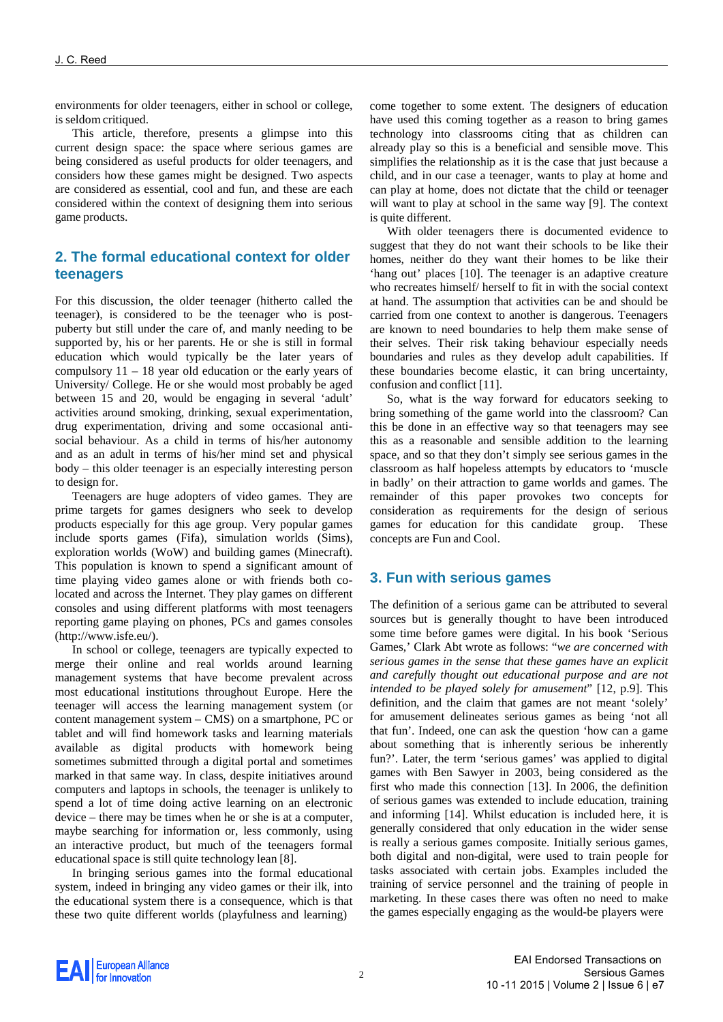environments for older teenagers, either in school or college, is seldom critiqued.

This article, therefore, presents a glimpse into this current design space: the space where serious games are being considered as useful products for older teenagers, and considers how these games might be designed. Two aspects are considered as essential, cool and fun, and these are each considered within the context of designing them into serious game products.

# **2. The formal educational context for older teenagers**

For this discussion, the older teenager (hitherto called the teenager), is considered to be the teenager who is postpuberty but still under the care of, and manly needing to be supported by, his or her parents. He or she is still in formal education which would typically be the later years of compulsory 11 – 18 year old education or the early years of University/ College. He or she would most probably be aged between 15 and 20, would be engaging in several 'adult' activities around smoking, drinking, sexual experimentation, drug experimentation, driving and some occasional antisocial behaviour. As a child in terms of his/her autonomy and as an adult in terms of his/her mind set and physical body – this older teenager is an especially interesting person to design for.

Teenagers are huge adopters of video games. They are prime targets for games designers who seek to develop products especially for this age group. Very popular games include sports games (Fifa), simulation worlds (Sims), exploration worlds (WoW) and building games (Minecraft). This population is known to spend a significant amount of time playing video games alone or with friends both colocated and across the Internet. They play games on different consoles and using different platforms with most teenagers reporting game playing on phones, PCs and games console[s](http://www.isfe.eu/)) [\(http://www.isfe.eu/\).](http://www.isfe.eu/))

In school or college, teenagers are typically expected to merge their online and real worlds around learning management systems that have become prevalent across most educational institutions throughout Europe. Here the teenager will access the learning management system (or content management system – CMS) on a smartphone, PC or tablet and will find homework tasks and learning materials available as digital products with homework being sometimes submitted through a digital portal and sometimes marked in that same way. In class, despite initiatives around computers and laptops in schools, the teenager is unlikely to spend a lot of time doing active learning on an electronic device – there may be times when he or she is at a computer, maybe searching for information or, less commonly, using an interactive product, but much of the teenagers formal educational space is still quite technology lean [\[8\]](#page-4-7).

In bringing serious games into the formal educational system, indeed in bringing any video games or their ilk, into the educational system there is a consequence, which is that these two quite different worlds (playfulness and learning)

come together to some extent. The designers of education have used this coming together as a reason to bring games technology into classrooms citing that as children can already play so this is a beneficial and sensible move. This simplifies the relationship as it is the case that just because a child, and in our case a teenager, wants to play at home and can play at home, does not dictate that the child or teenager will want to play at school in the same way [\[9\]](#page-4-8). The context is quite different.

With older teenagers there is documented evidence to suggest that they do not want their schools to be like their homes, neither do they want their homes to be like their 'hang out' places [\[10\]](#page-4-9). The teenager is an adaptive creature who recreates himself/ herself to fit in with the social context at hand. The assumption that activities can be and should be carried from one context to another is dangerous. Teenagers are known to need boundaries to help them make sense of their selves. Their risk taking behaviour especially needs boundaries and rules as they develop adult capabilities. If these boundaries become elastic, it can bring uncertainty, confusion and conflict [\[11\]](#page-4-10).

So, what is the way forward for educators seeking to bring something of the game world into the classroom? Can this be done in an effective way so that teenagers may see this as a reasonable and sensible addition to the learning space, and so that they don't simply see serious games in the classroom as half hopeless attempts by educators to 'muscle in badly' on their attraction to game worlds and games. The remainder of this paper provokes two concepts for consideration as requirements for the design of serious games for education for this candidate group. These concepts are Fun and Cool.

### **3. Fun with serious games**

The definition of a serious game can be attributed to several sources but is generally thought to have been introduced some time before games were digital. In his book 'Serious Games,' Clark Abt wrote as follows: "*we are concerned with serious games in the sense that these games have an explicit and carefully thought out educational purpose and are not intended to be played solely for amusement*" [\[12,](#page-4-11) p.9]. This definition, and the claim that games are not meant 'solely' for amusement delineates serious games as being 'not all that fun'. Indeed, one can ask the question 'how can a game about something that is inherently serious be inherently fun?'. Later, the term 'serious games' was applied to digital games with Ben Sawyer in 2003, being considered as the first who made this connection [\[13\]](#page-4-12). In 2006, the definition of serious games was extended to include education, training and informing [\[14\]](#page-4-13). Whilst education is included here, it is generally considered that only education in the wider sense is really a serious games composite. Initially serious games, both digital and non-digital, were used to train people for tasks associated with certain jobs. Examples included the training of service personnel and the training of people in marketing. In these cases there was often no need to make the games especially engaging as the would-be players were

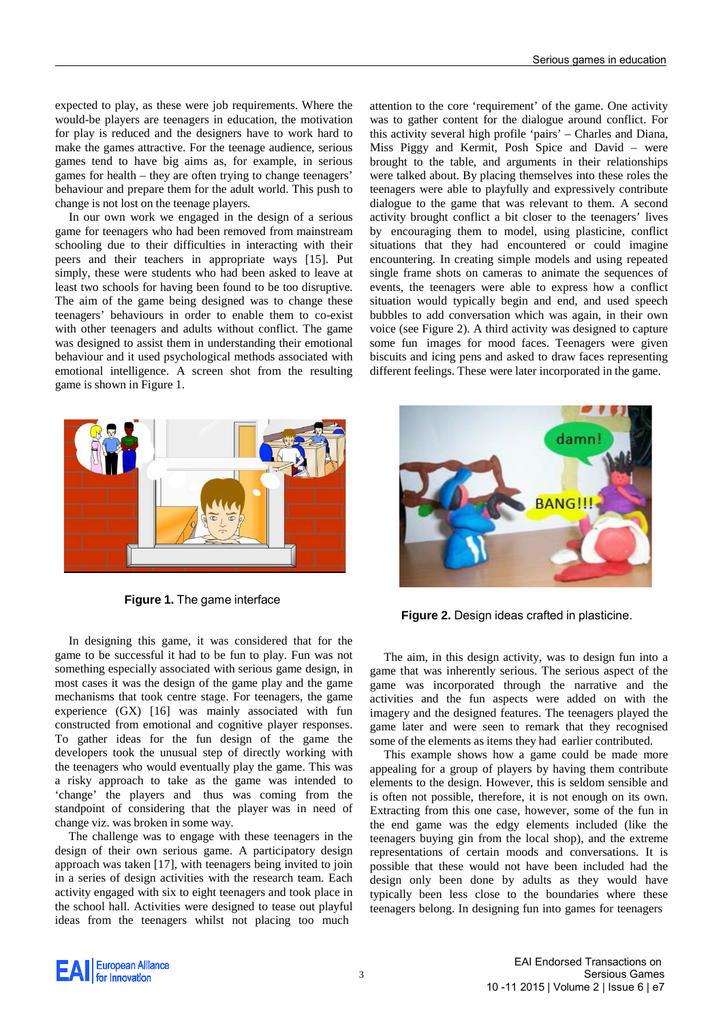expected to play, as these were job requirements. Where the would-be players are teenagers in education, the motivation for play is reduced and the designers have to work hard to make the games attractive. For the teenage audience, serious games tend to have big aims as, for example, in serious games for health – they are often trying to change teenagers' behaviour and prepare them for the adult world. This push to change is not lost on the teenage players.

In our own work we engaged in the design of a serious game for teenagers who had been removed from mainstream schooling due to their difficulties in interacting with their peers and their teachers in appropriate ways [\[15\]](#page-4-14). Put simply, these were students who had been asked to leave at least two schools for having been found to be too disruptive. The aim of the game being designed was to change these teenagers' behaviours in order to enable them to co-exist with other teenagers and adults without conflict. The game was designed to assist them in understanding their emotional behaviour and it used psychological methods associated with emotional intelligence. A screen shot from the resulting game is shown in Figure 1.

attention to the core 'requirement' of the game. One activity was to gather content for the dialogue around conflict. For this activity several high profile 'pairs' – Charles and Diana, Miss Piggy and Kermit, Posh Spice and David – were brought to the table, and arguments in their relationships were talked about. By placing themselves into these roles the teenagers were able to playfully and expressively contribute dialogue to the game that was relevant to them. A second activity brought conflict a bit closer to the teenagers' lives by encouraging them to model, using plasticine, conflict situations that they had encountered or could imagine encountering. In creating simple models and using repeated single frame shots on cameras to animate the sequences of events, the teenagers were able to express how a conflict situation would typically begin and end, and used speech bubbles to add conversation which was again, in their own voice (see Figure 2). A third activity was designed to capture some fun images for mood faces. Teenagers were given biscuits and icing pens and asked to draw faces representing different feelings. These were later incorporated in the game.



**Figure 1.** The game interface

In designing this game, it was considered that for the game to be successful it had to be fun to play. Fun was not something especially associated with serious game design, in most cases it was the design of the game play and the game mechanisms that took centre stage. For teenagers, the game experience (GX) [\[16\]](#page-4-15) was mainly associated with fun constructed from emotional and cognitive player responses. To gather ideas for the fun design of the game the developers took the unusual step of directly working with the teenagers who would eventually play the game. This was a risky approach to take as the game was intended to 'change' the players and thus was coming from the standpoint of considering that the player was in need of change viz. was broken in some way.

The challenge was to engage with these teenagers in the design of their own serious game. A participatory design approach was taken [\[17\]](#page-4-16), with teenagers being invited to join in a series of design activities with the research team. Each activity engaged with six to eight teenagers and took place in the school hall. Activities were designed to tease out playful ideas from the teenagers whilst not placing too much



**Figure 2.** Design ideas crafted in plasticine.

The aim, in this design activity, was to design fun into a game that was inherently serious. The serious aspect of the game was incorporated through the narrative and the activities and the fun aspects were added on with the imagery and the designed features. The teenagers played the game later and were seen to remark that they recognised some of the elements as items they had earlier contributed.

This example shows how a game could be made more appealing for a group of players by having them contribute elements to the design. However, this is seldom sensible and is often not possible, therefore, it is not enough on its own. Extracting from this one case, however, some of the fun in the end game was the edgy elements included (like the teenagers buying gin from the local shop), and the extreme representations of certain moods and conversations. It is possible that these would not have been included had the design only been done by adults as they would have typically been less close to the boundaries where these teenagers belong. In designing fun into games for teenagers

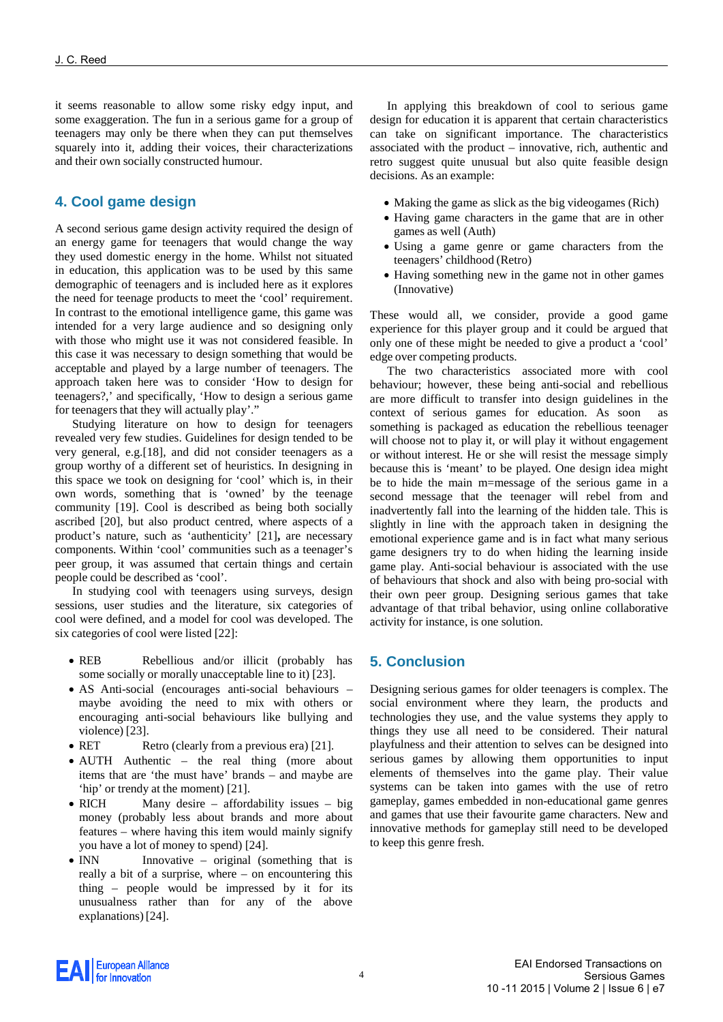it seems reasonable to allow some risky edgy input, and some exaggeration. The fun in a serious game for a group of teenagers may only be there when they can put themselves squarely into it, adding their voices, their characterizations and their own socially constructed humour.

# **4. Cool game design**

A second serious game design activity required the design of an energy game for teenagers that would change the way they used domestic energy in the home. Whilst not situated in education, this application was to be used by this same demographic of teenagers and is included here as it explores the need for teenage products to meet the 'cool' requirement. In contrast to the emotional intelligence game, this game was intended for a very large audience and so designing only with those who might use it was not considered feasible. In this case it was necessary to design something that would be acceptable and played by a large number of teenagers. The approach taken here was to consider 'How to design for teenagers?,' and specifically, 'How to design a serious game for teenagers that they will actually play'."

Studying literature on how to design for teenagers revealed very few studies. Guidelines for design tended to be very general, e.g.[\[18\]](#page-4-17), and did not consider teenagers as a group worthy of a different set of heuristics. In designing in this space we took on designing for 'cool' which is, in their own words, something that is 'owned' by the teenage community [\[19\]](#page-4-18). Cool is described as being both socially ascribed [\[20\]](#page-4-19), but also product centred, where aspects of a product's nature, such as 'authenticity' [\[21\]](#page-4-20)**,** are necessary components. Within 'cool' communities such as a teenager's peer group, it was assumed that certain things and certain people could be described as 'cool'.

In studying cool with teenagers using surveys, design sessions, user studies and the literature, six categories of cool were defined, and a model for cool was developed. The six categories of cool were listed [\[22\]](#page-4-21):

- REB Rebellious and/or illicit (probably has some socially or morally unacceptable line to it) [\[23\]](#page-4-22).
- AS Anti-social (encourages anti-social behaviours maybe avoiding the need to mix with others or encouraging anti-social behaviours like bullying and violence) [\[23\]](#page-4-22).
- RET Retro (clearly from a previous era) [\[21\]](#page-4-20).
- AUTH Authentic the real thing (more about items that are 'the must have' brands – and maybe are 'hip' or trendy at the moment) [\[21\]](#page-4-20).
- RICH Many desire affordability issues big money (probably less about brands and more about features – where having this item would mainly signify you have a lot of money to spend) [\[24\]](#page-4-23).
- INN Innovative original (something that is really a bit of a surprise, where – on encountering this thing – people would be impressed by it for its unusualness rather than for any of the above explanations) [\[24\]](#page-4-23).

In applying this breakdown of cool to serious game design for education it is apparent that certain characteristics can take on significant importance. The characteristics associated with the product – innovative, rich, authentic and retro suggest quite unusual but also quite feasible design decisions. As an example:

- Making the game as slick as the big videogames (Rich)
- Having game characters in the game that are in other games as well (Auth)
- Using a game genre or game characters from the teenagers' childhood (Retro)
- Having something new in the game not in other games (Innovative)

These would all, we consider, provide a good game experience for this player group and it could be argued that only one of these might be needed to give a product a 'cool' edge over competing products.

The two characteristics associated more with cool behaviour; however, these being anti-social and rebellious are more difficult to transfer into design guidelines in the context of serious games for education. As soon as something is packaged as education the rebellious teenager will choose not to play it, or will play it without engagement or without interest. He or she will resist the message simply because this is 'meant' to be played. One design idea might be to hide the main m=message of the serious game in a second message that the teenager will rebel from and inadvertently fall into the learning of the hidden tale. This is slightly in line with the approach taken in designing the emotional experience game and is in fact what many serious game designers try to do when hiding the learning inside game play. Anti-social behaviour is associated with the use of behaviours that shock and also with being pro-social with their own peer group. Designing serious games that take advantage of that tribal behavior, using online collaborative activity for instance, is one solution.

# **5. Conclusion**

Designing serious games for older teenagers is complex. The social environment where they learn, the products and technologies they use, and the value systems they apply to things they use all need to be considered. Their natural playfulness and their attention to selves can be designed into serious games by allowing them opportunities to input elements of themselves into the game play. Their value systems can be taken into games with the use of retro gameplay, games embedded in non-educational game genres and games that use their favourite game characters. New and innovative methods for gameplay still need to be developed to keep this genre fresh.